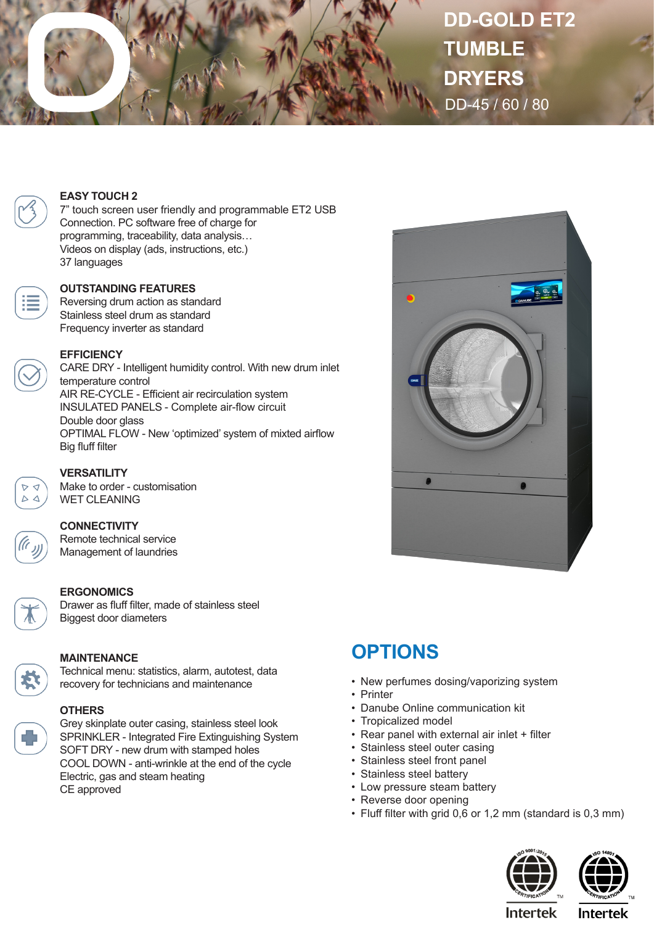

**DD-GOLD ET2 TUMBLE DRYERS** DD-45 / 60 / 80



#### **EASY TOUCH 2**

7" touch screen user friendly and programmable ET2 USB Connection. PC software free of charge for programming, traceability, data analysis… Videos on display (ads, instructions, etc.) 37 languages

#### **OUTSTANDING FEATURES**

Reversing drum action as standard Stainless steel drum as standard Frequency inverter as standard



#### **EFFICIENCY**

CARE DRY - Intelligent humidity control. With new drum inlet temperature control AIR RE-CYCLE - Efficient air recirculation system INSULATED PANELS - Complete air-flow circuit Double door glass OPTIMAL FLOW - New 'optimized' system of mixted airflow Big fluff filter



# **VERSATILITY**

Make to order - customisation WET CLEANING

# **CONNECTIVITY**

Remote technical service Management of laundries

# **ERGONOMICS**

Drawer as fluff filter, made of stainless steel Biggest door diameters



### **MAINTENANCE**

Technical menu: statistics, alarm, autotest, data recovery for technicians and maintenance



Grey skinplate outer casing, stainless steel look SPRINKLER - Integrated Fire Extinguishing System SOFT DRY - new drum with stamped holes COOL DOWN - anti-wrinkle at the end of the cycle Electric, gas and steam heating CE approved



# **OPTIONS**

- New perfumes dosing/vaporizing system
- Printer
- Danube Online communication kit
- Tropicalized model
- Rear panel with external air inlet + filter
- Stainless steel outer casing
- Stainless steel front panel
- Stainless steel battery
- Low pressure steam battery
- Reverse door opening
- Fluff filter with grid 0,6 or 1,2 mm (standard is 0,3 mm)





**Intertek** 

**Intertek**